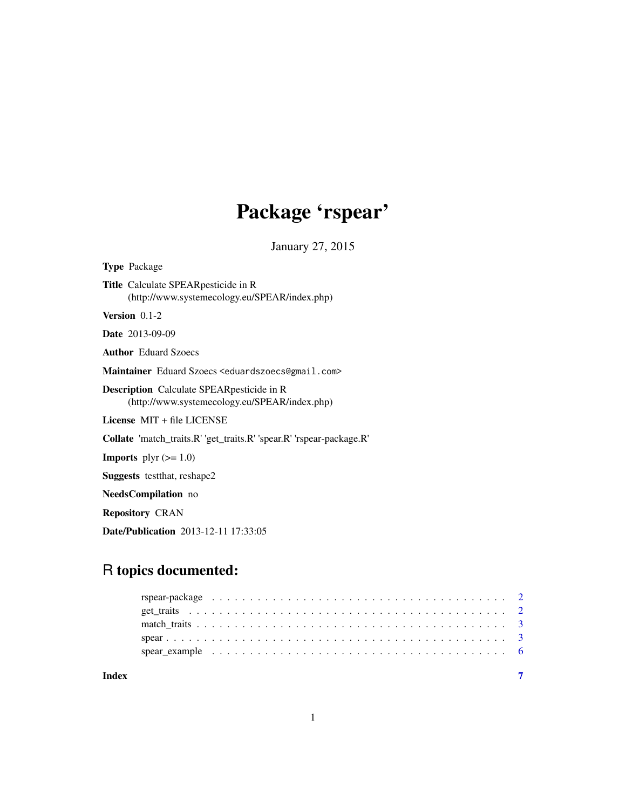# Package 'rspear'

January 27, 2015

| <b>Type Package</b>                                                                                |
|----------------------------------------------------------------------------------------------------|
| <b>Title</b> Calculate SPEAR pesticide in R<br>(http://www.systemecology.eu/SPEAR/index.php)       |
| Version $0.1-2$                                                                                    |
| <b>Date</b> 2013-09-09                                                                             |
| <b>Author</b> Eduard Szoecs                                                                        |
| Maintainer Eduard Szoecs <eduardszoecs@gmail.com></eduardszoecs@gmail.com>                         |
| <b>Description</b> Calculate SPEAR pesticide in R<br>(http://www.systemecology.eu/SPEAR/index.php) |
| License MIT + file LICENSE                                                                         |
| <b>Collate</b> 'match_traits.R' 'get_traits.R' 'spear.R' 'rspear-package.R'                        |
| <b>Imports</b> plyr $(>= 1.0)$                                                                     |
| <b>Suggests</b> test that, reshape 2                                                               |
| <b>NeedsCompilation</b> no                                                                         |
|                                                                                                    |

Repository CRAN

Date/Publication 2013-12-11 17:33:05

### R topics documented:

| Index |  |  |  |  |  |  |  |  |  |  |  |  |  |  |  |  |  |  |
|-------|--|--|--|--|--|--|--|--|--|--|--|--|--|--|--|--|--|--|

1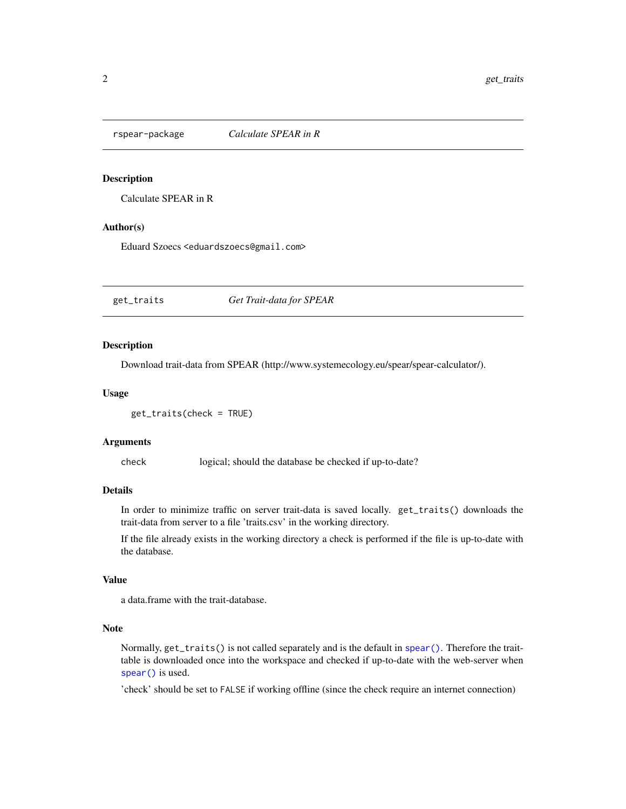<span id="page-1-0"></span>

#### Description

Calculate SPEAR in R

#### Author(s)

Eduard Szoecs <eduardszoecs@gmail.com>

<span id="page-1-1"></span>get\_traits *Get Trait-data for SPEAR*

#### Description

Download trait-data from SPEAR (http://www.systemecology.eu/spear/spear-calculator/).

#### Usage

```
get_traits(check = TRUE)
```
#### Arguments

check logical; should the database be checked if up-to-date?

#### Details

In order to minimize traffic on server trait-data is saved locally. get\_traits() downloads the trait-data from server to a file 'traits.csv' in the working directory.

If the file already exists in the working directory a check is performed if the file is up-to-date with the database.

#### Value

a data.frame with the trait-database.

#### Note

Normally, get\_traits() is not called separately and is the default in [spear\(\)](#page-2-1). Therefore the traittable is downloaded once into the workspace and checked if up-to-date with the web-server when [spear\(\)](#page-2-1) is used.

'check' should be set to FALSE if working offline (since the check require an internet connection)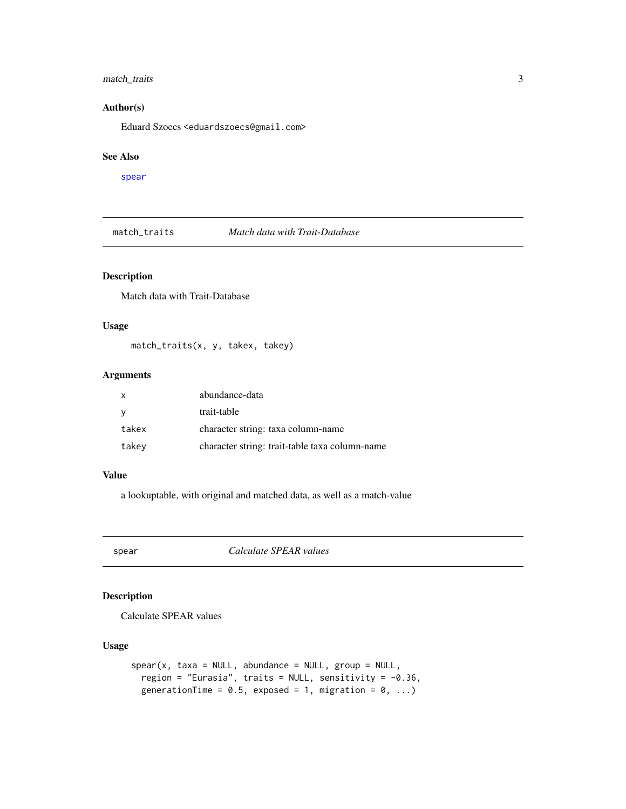#### <span id="page-2-0"></span>match\_traits 3

#### Author(s)

Eduard Szoecs <eduardszoecs@gmail.com>

#### See Also

[spear](#page-2-1)

match\_traits *Match data with Trait-Database*

#### Description

Match data with Trait-Database

#### Usage

match\_traits(x, y, takex, takey)

#### Arguments

| $\mathsf{x}$ | abundance-data                                 |
|--------------|------------------------------------------------|
| - V          | trait-table                                    |
| takex        | character string: taxa column-name             |
| takev        | character string: trait-table taxa column-name |

#### Value

a lookuptable, with original and matched data, as well as a match-value

<span id="page-2-1"></span>spear *Calculate SPEAR values*

#### Description

Calculate SPEAR values

#### Usage

```
spear(x, taxa = NULL, abundance = NULL, group = NULL,region = "Eurasia", traits = NULL, sensitivity = -0.36,
 generationTime = 0.5, exposed = 1, migration = 0, ...)
```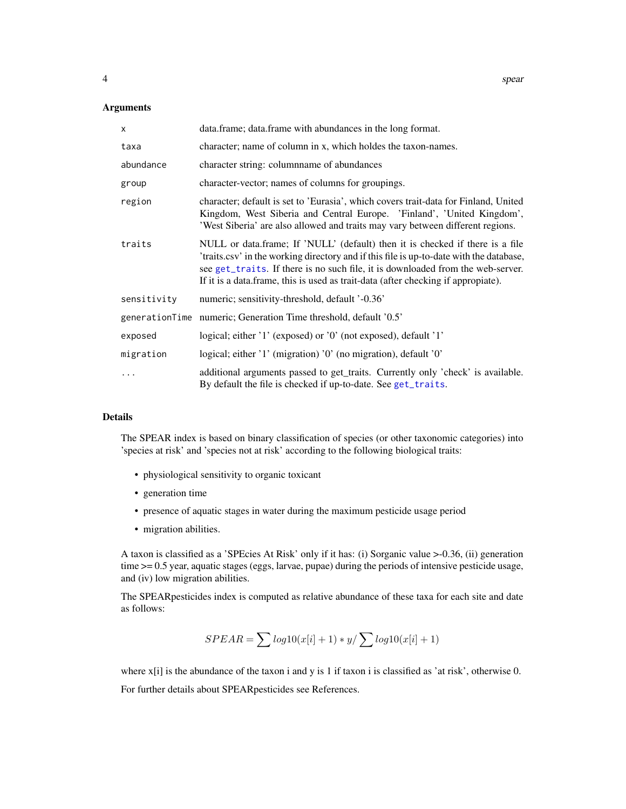#### <span id="page-3-0"></span>Arguments

| X           | data.frame; data.frame with abundances in the long format.                                                                                                                                                                                                                                                                                       |
|-------------|--------------------------------------------------------------------------------------------------------------------------------------------------------------------------------------------------------------------------------------------------------------------------------------------------------------------------------------------------|
| taxa        | character; name of column in x, which holdes the taxon-names.                                                                                                                                                                                                                                                                                    |
| abundance   | character string: columnname of abundances                                                                                                                                                                                                                                                                                                       |
| group       | character-vector; names of columns for groupings.                                                                                                                                                                                                                                                                                                |
| region      | character; default is set to 'Eurasia', which covers trait-data for Finland, United<br>Kingdom, West Siberia and Central Europe. 'Finland', 'United Kingdom',<br>'West Siberia' are also allowed and traits may vary between different regions.                                                                                                  |
| traits      | NULL or data.frame; If 'NULL' (default) then it is checked if there is a file<br>'traits.csv' in the working directory and if this file is up-to-date with the database,<br>see get_traits. If there is no such file, it is downloaded from the web-server.<br>If it is a data.frame, this is used as trait-data (after checking if appropiate). |
| sensitivity | numeric; sensitivity-threshold, default '-0.36'                                                                                                                                                                                                                                                                                                  |
|             | generationTime numeric; Generation Time threshold, default '0.5'                                                                                                                                                                                                                                                                                 |
| exposed     | logical; either '1' (exposed) or '0' (not exposed), default '1'                                                                                                                                                                                                                                                                                  |
| migration   | logical; either '1' (migration) '0' (no migration), default '0'                                                                                                                                                                                                                                                                                  |
| $\ddots$    | additional arguments passed to get_traits. Currently only 'check' is available.<br>By default the file is checked if up-to-date. See get_traits.                                                                                                                                                                                                 |

#### Details

The SPEAR index is based on binary classification of species (or other taxonomic categories) into 'species at risk' and 'species not at risk' according to the following biological traits:

- physiological sensitivity to organic toxicant
- generation time
- presence of aquatic stages in water during the maximum pesticide usage period
- migration abilities.

A taxon is classified as a 'SPEcies At Risk' only if it has: (i) Sorganic value >-0.36, (ii) generation time >= 0.5 year, aquatic stages (eggs, larvae, pupae) during the periods of intensive pesticide usage, and (iv) low migration abilities.

The SPEARpesticides index is computed as relative abundance of these taxa for each site and date as follows:

$$
SPEAR = \sum log10(x[i] + 1) * y / \sum log10(x[i] + 1)
$$

where  $x[i]$  is the abundance of the taxon i and y is 1 if taxon i is classified as 'at risk', otherwise 0. For further details about SPEARpesticides see References.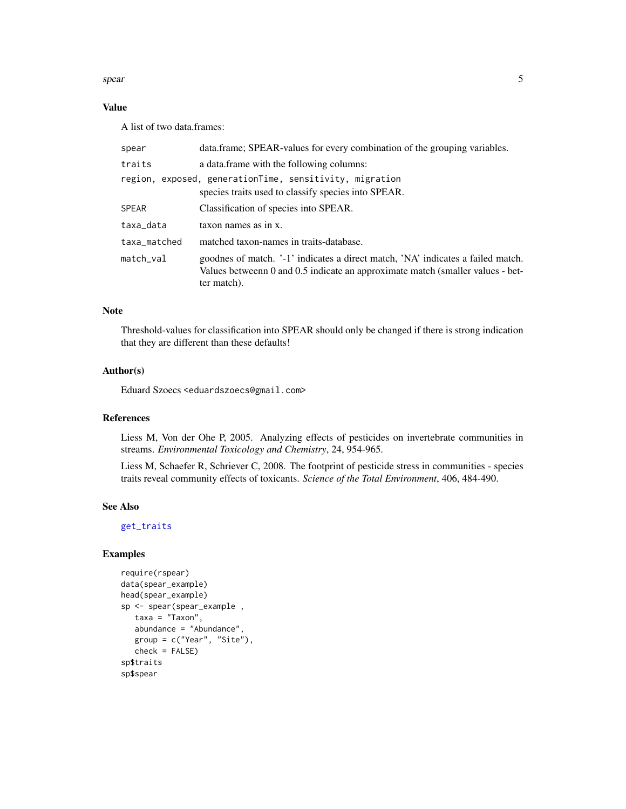<span id="page-4-0"></span>spear 5

#### Value

A list of two data.frames:

| spear        | data.frame; SPEAR-values for every combination of the grouping variables.                                                                                                        |
|--------------|----------------------------------------------------------------------------------------------------------------------------------------------------------------------------------|
| traits       | a data. frame with the following columns:                                                                                                                                        |
|              | region, exposed, generationTime, sensitivity, migration<br>species traits used to classify species into SPEAR.                                                                   |
| <b>SPEAR</b> | Classification of species into SPEAR.                                                                                                                                            |
| taxa_data    | taxon names as in x.                                                                                                                                                             |
| taxa_matched | matched taxon-names in traits-database.                                                                                                                                          |
| match_val    | goodnes of match. '-1' indicates a direct match, 'NA' indicates a failed match.<br>Values betweenn 0 and 0.5 indicate an approximate match (smaller values - bet-<br>ter match). |

#### Note

Threshold-values for classification into SPEAR should only be changed if there is strong indication that they are different than these defaults!

#### Author(s)

Eduard Szoecs <eduardszoecs@gmail.com>

#### References

Liess M, Von der Ohe P, 2005. Analyzing effects of pesticides on invertebrate communities in streams. *Environmental Toxicology and Chemistry*, 24, 954-965.

Liess M, Schaefer R, Schriever C, 2008. The footprint of pesticide stress in communities - species traits reveal community effects of toxicants. *Science of the Total Environment*, 406, 484-490.

#### See Also

[get\\_traits](#page-1-1)

#### Examples

```
require(rspear)
data(spear_example)
head(spear_example)
sp <- spear(spear_example ,
  taxa = "Taxon",
   abundance = "Abundance",
  group = c("Year", "Site"),
  check = FALSE)
sp$traits
sp$spear
```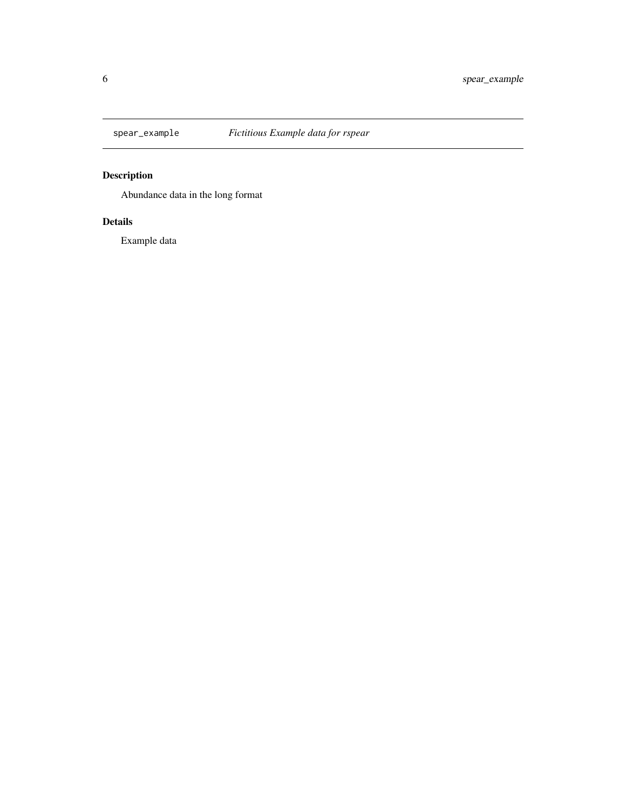<span id="page-5-0"></span>

### Description

Abundance data in the long format

#### Details

Example data